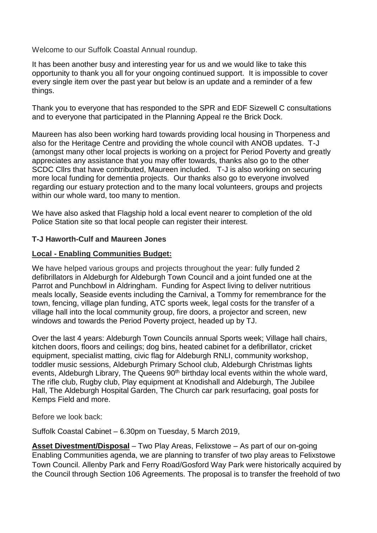Welcome to our Suffolk Coastal Annual roundup.

It has been another busy and interesting year for us and we would like to take this opportunity to thank you all for your ongoing continued support. It is impossible to cover every single item over the past year but below is an update and a reminder of a few things.

Thank you to everyone that has responded to the SPR and EDF Sizewell C consultations and to everyone that participated in the Planning Appeal re the Brick Dock.

Maureen has also been working hard towards providing local housing in Thorpeness and also for the Heritage Centre and providing the whole council with ANOB updates. T-J (amongst many other local projects is working on a project for Period Poverty and greatly appreciates any assistance that you may offer towards, thanks also go to the other SCDC Cllrs that have contributed, Maureen included. T-J is also working on securing more local funding for dementia projects. Our thanks also go to everyone involved regarding our estuary protection and to the many local volunteers, groups and projects within our whole ward, too many to mention.

We have also asked that Flagship hold a local event nearer to completion of the old Police Station site so that local people can register their interest.

### **T-J Haworth-Culf and Maureen Jones**

### **Local - Enabling Communities Budget:**

We have helped various groups and projects throughout the year: fully funded 2 defibrillators in Aldeburgh for Aldeburgh Town Council and a joint funded one at the Parrot and Punchbowl in Aldringham. Funding for Aspect living to deliver nutritious meals locally, Seaside events including the Carnival, a Tommy for remembrance for the town, fencing, village plan funding, ATC sports week, legal costs for the transfer of a village hall into the local community group, fire doors, a projector and screen, new windows and towards the Period Poverty project, headed up by TJ.

Over the last 4 years: Aldeburgh Town Councils annual Sports week; Village hall chairs, kitchen doors, floors and ceilings; dog bins, heated cabinet for a defibrillator, cricket equipment, specialist matting, civic flag for Aldeburgh RNLI, community workshop, toddler music sessions, Aldeburgh Primary School club, Aldeburgh Christmas lights events, Aldeburgh Library, The Queens 90<sup>th</sup> birthday local events within the whole ward, The rifle club, Rugby club, Play equipment at Knodishall and Aldeburgh, The Jubilee Hall, The Aldeburgh Hospital Garden, The Church car park resurfacing, goal posts for Kemps Field and more.

Before we look back:

Suffolk Coastal Cabinet – 6.30pm on Tuesday, 5 March 2019,

**Asset Divestment/Disposal** – Two Play Areas, Felixstowe – As part of our on-going Enabling Communities agenda, we are planning to transfer of two play areas to Felixstowe Town Council. Allenby Park and Ferry Road/Gosford Way Park were historically acquired by the Council through Section 106 Agreements. The proposal is to transfer the freehold of two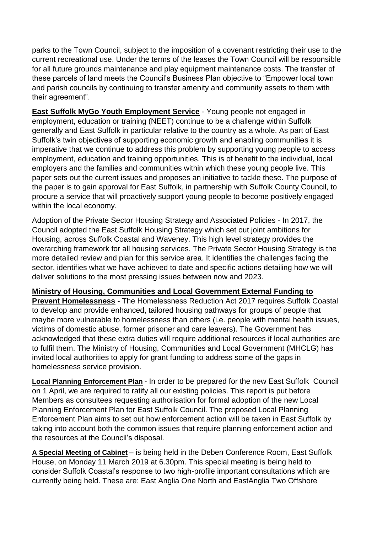parks to the Town Council, subject to the imposition of a covenant restricting their use to the current recreational use. Under the terms of the leases the Town Council will be responsible for all future grounds maintenance and play equipment maintenance costs. The transfer of these parcels of land meets the Council's Business Plan objective to "Empower local town and parish councils by continuing to transfer amenity and community assets to them with their agreement".

**East Suffolk MyGo Youth Employment Service** - Young people not engaged in employment, education or training (NEET) continue to be a challenge within Suffolk generally and East Suffolk in particular relative to the country as a whole. As part of East Suffolk's twin objectives of supporting economic growth and enabling communities it is imperative that we continue to address this problem by supporting young people to access employment, education and training opportunities. This is of benefit to the individual, local employers and the families and communities within which these young people live. This paper sets out the current issues and proposes an initiative to tackle these. The purpose of the paper is to gain approval for East Suffolk, in partnership with Suffolk County Council, to procure a service that will proactively support young people to become positively engaged within the local economy.

Adoption of the Private Sector Housing Strategy and Associated Policies - In 2017, the Council adopted the East Suffolk Housing Strategy which set out joint ambitions for Housing, across Suffolk Coastal and Waveney. This high level strategy provides the overarching framework for all housing services. The Private Sector Housing Strategy is the more detailed review and plan for this service area. It identifies the challenges facing the sector, identifies what we have achieved to date and specific actions detailing how we will deliver solutions to the most pressing issues between now and 2023.

### **Ministry of Housing, Communities and Local Government External Funding to**

**Prevent Homelessness** - The Homelessness Reduction Act 2017 requires Suffolk Coastal to develop and provide enhanced, tailored housing pathways for groups of people that maybe more vulnerable to homelessness than others (i.e. people with mental health issues, victims of domestic abuse, former prisoner and care leavers). The Government has acknowledged that these extra duties will require additional resources if local authorities are to fulfil them. The Ministry of Housing, Communities and Local Government (MHCLG) has invited local authorities to apply for grant funding to address some of the gaps in homelessness service provision.

**Local Planning Enforcement Plan** - In order to be prepared for the new East Suffolk Council on 1 April, we are required to ratify all our existing policies. This report is put before Members as consultees requesting authorisation for formal adoption of the new Local Planning Enforcement Plan for East Suffolk Council. The proposed Local Planning Enforcement Plan aims to set out how enforcement action will be taken in East Suffolk by taking into account both the common issues that require planning enforcement action and the resources at the Council's disposal.

**A Special Meeting of Cabinet** – is being held in the Deben Conference Room, East Suffolk House, on Monday 11 March 2019 at 6.30pm. This special meeting is being held to consider Suffolk Coastal's response to two high-profile important consultations which are currently being held. These are: East Anglia One North and EastAnglia Two Offshore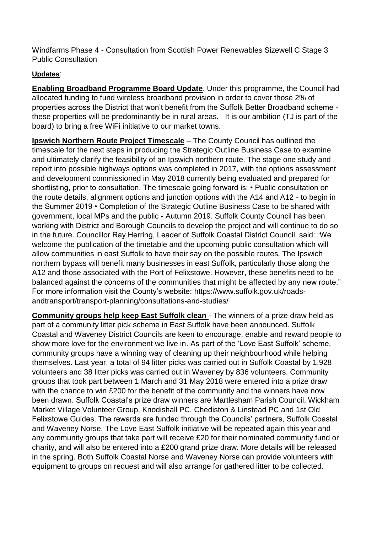Windfarms Phase 4 - Consultation from Scottish Power Renewables Sizewell C Stage 3 Public Consultation

# **Updates**:

**Enabling Broadband Programme Board Update**. Under this programme, the Council had allocated funding to fund wireless broadband provision in order to cover those 2% of properties across the District that won't benefit from the Suffolk Better Broadband scheme these properties will be predominantly be in rural areas. It is our ambition (TJ is part of the board) to bring a free WiFi initiative to our market towns.

**Ipswich Northern Route Project Timescale** – The County Council has outlined the timescale for the next steps in producing the Strategic Outline Business Case to examine and ultimately clarify the feasibility of an Ipswich northern route. The stage one study and report into possible highways options was completed in 2017, with the options assessment and development commissioned in May 2018 currently being evaluated and prepared for shortlisting, prior to consultation. The timescale going forward is: • Public consultation on the route details, alignment options and junction options with the A14 and A12 - to begin in the Summer 2019 • Completion of the Strategic Outline Business Case to be shared with government, local MPs and the public - Autumn 2019. Suffolk County Council has been working with District and Borough Councils to develop the project and will continue to do so in the future. Councillor Ray Herring, Leader of Suffolk Coastal District Council, said: "We welcome the publication of the timetable and the upcoming public consultation which will allow communities in east Suffolk to have their say on the possible routes. The Ipswich northern bypass will benefit many businesses in east Suffolk, particularly those along the A12 and those associated with the Port of Felixstowe. However, these benefits need to be balanced against the concerns of the communities that might be affected by any new route." For more information visit the County's website: [https://www.suffolk.gov.uk/roads](https://www.suffolk.gov.uk/roads-andtransport/transport-planning/consultations-and-studies/)[andtransport/transport-planning/consultations-and-studies/](https://www.suffolk.gov.uk/roads-andtransport/transport-planning/consultations-and-studies/)

**Community groups help keep East Suffolk clean** - The winners of a prize draw held as part of a community litter pick scheme in East Suffolk have been announced. Suffolk Coastal and Waveney District Councils are keen to encourage, enable and reward people to show more love for the environment we live in. As part of the 'Love East Suffolk' scheme, community groups have a winning way of cleaning up their neighbourhood while helping themselves. Last year, a total of 94 litter picks was carried out in Suffolk Coastal by 1,928 volunteers and 38 litter picks was carried out in Waveney by 836 volunteers. Community groups that took part between 1 March and 31 May 2018 were entered into a prize draw with the chance to win £200 for the benefit of the community and the winners have now been drawn. Suffolk Coastal's prize draw winners are Martlesham Parish Council, Wickham Market Village Volunteer Group, Knodishall PC, Chediston & Linstead PC and 1st Old Felixstowe Guides. The rewards are funded through the Councils' partners, Suffolk Coastal and Waveney Norse. The Love East Suffolk initiative will be repeated again this year and any community groups that take part will receive £20 for their nominated community fund or charity, and will also be entered into a £200 grand prize draw. More details will be released in the spring. Both Suffolk Coastal Norse and Waveney Norse can provide volunteers with equipment to groups on request and will also arrange for gathered litter to be collected.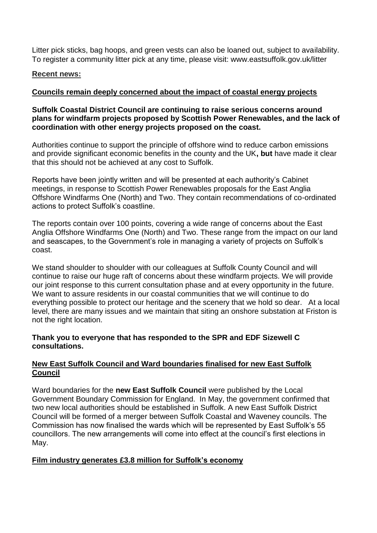Litter pick sticks, bag hoops, and green vests can also be loaned out, subject to availability. To register a community litter pick at any time, please visit: www.eastsuffolk.gov.uk/litter

### **Recent news:**

# **Councils remain deeply concerned about the impact of coastal energy projects**

### **Suffolk Coastal District Council are continuing to raise serious concerns around plans for windfarm projects proposed by Scottish Power Renewables, and the lack of coordination with other energy projects proposed on the coast.**

Authorities continue to support the principle of offshore wind to reduce carbon emissions and provide significant economic benefits in the county and the UK**, but** have made it clear that this should not be achieved at any cost to Suffolk.

Reports have been jointly written and will be presented at each authority's [Cabinet](http://apps.eastsuffolk.gov.uk/committeeminutes/showagenda.asp?id=23397)  [meetings,](http://apps.eastsuffolk.gov.uk/committeeminutes/showagenda.asp?id=23397) in response to Scottish Power Renewables proposals for the [East Anglia](https://www.eastsuffolk.gov.uk/planning/offshore-windfarms/)  [Offshore Windfarms One \(North\) and Two.](https://www.eastsuffolk.gov.uk/planning/offshore-windfarms/) They contain recommendations of co-ordinated actions to protect Suffolk's coastline.

The reports contain over 100 points, covering a wide range of concerns about the East Anglia Offshore Windfarms One (North) and Two. These range from the impact on our land and seascapes, to the Government's role in managing a variety of projects on Suffolk's coast.

We stand shoulder to shoulder with our colleagues at Suffolk County Council and will continue to raise our huge raft of concerns about these windfarm projects. We will provide our joint response to this current consultation phase and at every opportunity in the future. We want to assure residents in our coastal communities that we will continue to do everything possible to protect our heritage and the scenery that we hold so dear. At a local level, there are many issues and we maintain that siting an onshore substation at Friston is not the right location.

### **Thank you to everyone that has responded to the SPR and EDF Sizewell C consultations.**

# **New East Suffolk Council and Ward boundaries finalised for new East Suffolk Council**

Ward boundaries for the **new East Suffolk Council** were published by the Local Government Boundary Commission for England. In May, the government confirmed that two new local authorities should be established in Suffolk. A new East Suffolk District Council will be formed of a merger between Suffolk Coastal and Waveney councils. The Commission has now finalised the wards which will be represented by East Suffolk's 55 councillors. The new arrangements will come into effect at the council's first elections in May.

# **Film industry generates £3.8 million for Suffolk's economy**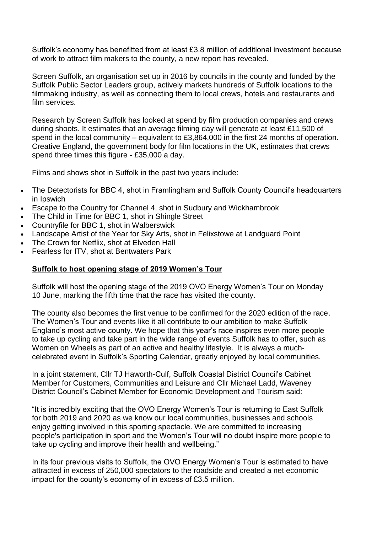Suffolk's economy has benefitted from at least £3.8 million of additional investment because of work to attract film makers to the county, a new report has revealed.

Screen Suffolk, an organisation set up in 2016 by councils in the county and funded by the Suffolk Public Sector Leaders group, actively markets hundreds of Suffolk locations to the filmmaking industry, as well as connecting them to local crews, hotels and restaurants and film services.

Research by Screen Suffolk has looked at spend by film production companies and crews during shoots. It estimates that an average filming day will generate at least £11,500 of spend in the local community – equivalent to £3,864,000 in the first 24 months of operation. Creative England, the government body for film locations in the UK, estimates that crews spend three times this figure - £35,000 a day.

Films and shows shot in Suffolk in the past two years include:

- The Detectorists for BBC 4, shot in Framlingham and Suffolk County Council's headquarters in Ipswich
- Escape to the Country for Channel 4, shot in Sudbury and Wickhambrook
- The Child in Time for BBC 1, shot in Shingle Street
- Countryfile for BBC 1, shot in Walberswick
- Landscape Artist of the Year for Sky Arts, shot in Felixstowe at Landguard Point
- The Crown for Netflix, shot at Elveden Hall
- Fearless for ITV, shot at Bentwaters Park

### **Suffolk to host opening stage of 2019 Women's Tour**

Suffolk will host the opening stage of the 2019 OVO Energy Women's Tour on Monday 10 June, marking the fifth time that the race has visited the county.

The county also becomes the first venue to be confirmed for the 2020 edition of the race. The Women's Tour and events like it all contribute to our ambition to make Suffolk England's most active county. We hope that this year's race inspires even more people to take up cycling and take part in the wide range of events Suffolk has to offer, such as Women on Wheels as part of an active and healthy lifestyle. It is always a muchcelebrated event in Suffolk's Sporting Calendar, greatly enjoyed by local communities.

In a joint statement, Cllr TJ Haworth-Culf, Suffolk Coastal District Council's Cabinet Member for Customers, Communities and Leisure and Cllr Michael Ladd, Waveney District Council's Cabinet Member for Economic Development and Tourism said:

"It is incredibly exciting that the OVO Energy Women's Tour is returning to East Suffolk for both 2019 and 2020 as we know our local communities, businesses and schools enjoy getting involved in this sporting spectacle. We are committed to increasing people's participation in sport and the Women's Tour will no doubt inspire more people to take up cycling and improve their health and wellbeing."

In its four previous visits to Suffolk, the OVO Energy Women's Tour is estimated to have attracted in excess of 250,000 spectators to the roadside and created a net economic impact for the county's economy of in excess of £3.5 million.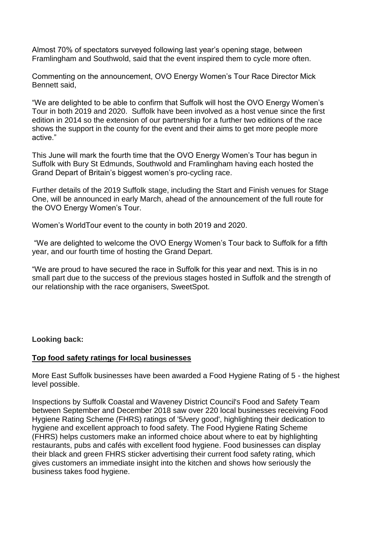Almost 70% of spectators surveyed following last year's opening stage, between Framlingham and Southwold, said that the event inspired them to cycle more often.

Commenting on the announcement, OVO Energy Women's Tour Race Director Mick Bennett said,

"We are delighted to be able to confirm that Suffolk will host the OVO Energy Women's Tour in both 2019 and 2020. Suffolk have been involved as a host venue since the first edition in 2014 so the extension of our partnership for a further two editions of the race shows the support in the county for the event and their aims to get more people more active."

This June will mark the fourth time that the OVO Energy Women's Tour has begun in Suffolk with Bury St Edmunds, Southwold and Framlingham having each hosted the Grand Depart of Britain's biggest women's pro-cycling race.

Further details of the 2019 Suffolk stage, including the Start and Finish venues for Stage One, will be announced in early March, ahead of the announcement of the full route for the OVO Energy Women's Tour.

Women's WorldTour event to the county in both 2019 and 2020.

"We are delighted to welcome the OVO Energy Women's Tour back to Suffolk for a fifth year, and our fourth time of hosting the Grand Depart.

"We are proud to have secured the race in Suffolk for this year and next. This is in no small part due to the success of the previous stages hosted in Suffolk and the strength of our relationship with the race organisers, SweetSpot.

**Looking back:**

### **Top food safety ratings for local businesses**

More East Suffolk businesses have been awarded a Food Hygiene Rating of 5 - the highest level possible.

Inspections by Suffolk Coastal and Waveney District Council's Food and Safety Team between September and December 2018 saw over 220 local businesses receiving Food Hygiene Rating Scheme (FHRS) ratings of '5/very good', highlighting their dedication to hygiene and excellent approach to food safety. The Food Hygiene Rating Scheme (FHRS) helps customers make an informed choice about where to eat by highlighting restaurants, pubs and cafés with excellent food hygiene. Food businesses can display their black and green FHRS sticker advertising their current food safety rating, which gives customers an immediate insight into the kitchen and shows how seriously the business takes food hygiene.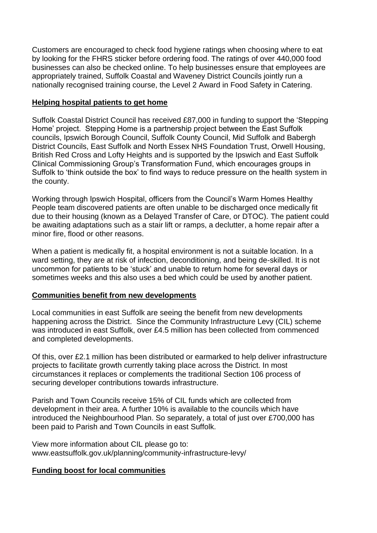Customers are encouraged to check food hygiene ratings when choosing where to eat by looking for the FHRS sticker before ordering food. The ratings of over 440,000 food businesses [can also be checked online.](http://ratings.food.gov.uk/) To help businesses ensure that employees are appropriately trained, Suffolk Coastal and Waveney District Councils jointly run a nationally recognised training course, the Level 2 Award in Food Safety in Catering.

## **Helping hospital patients to get home**

Suffolk Coastal District Council has received £87,000 in funding to support the 'Stepping Home' project. Stepping Home is a partnership project between the East Suffolk councils, Ipswich Borough Council, Suffolk County Council, Mid Suffolk and Babergh District Councils, East Suffolk and North Essex NHS Foundation Trust, Orwell Housing, British Red Cross and Lofty Heights and is supported by the Ipswich and East Suffolk Clinical Commissioning Group's Transformation Fund, which encourages groups in Suffolk to 'think outside the box' to find ways to reduce pressure on the health system in the county.

Working through Ipswich Hospital, officers from the Council's Warm Homes Healthy People team discovered patients are often unable to be discharged once medically fit due to their housing (known as a Delayed Transfer of Care, or DTOC). The patient could be awaiting adaptations such as a stair lift or ramps, a declutter, a home repair after a minor fire, flood or other reasons.

When a patient is medically fit, a hospital environment is not a suitable location. In a ward setting, they are at risk of infection, deconditioning, and being de-skilled. It is not uncommon for patients to be 'stuck' and unable to return home for several days or sometimes weeks and this also uses a bed which could be used by another patient.

### **Communities benefit from new developments**

Local communities in east Suffolk are seeing the benefit from new developments happening across the District. Since the Community Infrastructure Levy (CIL) scheme was introduced in east Suffolk, over £4.5 million has been collected from commenced and completed developments.

Of this, over £2.1 million has been distributed or earmarked to help deliver infrastructure projects to facilitate growth currently taking place across the District. In most circumstances it replaces or complements the traditional Section 106 process of securing developer contributions towards infrastructure.

Parish and Town Councils receive 15% of CIL funds which are collected from development in their area. A further 10% is available to the councils which have introduced the Neighbourhood Plan. So separately, a total of just over £700,000 has been paid to Parish and Town Councils in east Suffolk.

View more information about CIL please go to: [www.eastsuffolk.gov.uk/planning/community-infrastructure-levy/](http://www.eastsuffolk.gov.uk/planning/community-infrastructure-levy/)

# **Funding boost for local communities**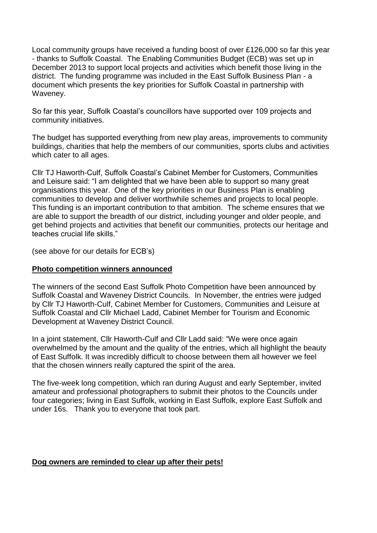Local community groups have received a funding boost of over £126,000 so far this year - thanks to Suffolk Coastal. The Enabling Communities Budget (ECB) was set up in December 2013 to support local projects and activities which benefit those living in the district. The funding programme was included in the East Suffolk Business Plan - a document which presents the key priorities for Suffolk Coastal in partnership with Waveney.

So far this year, Suffolk Coastal's councillors have supported over 109 projects and community initiatives.

The budget has supported everything from new play areas, improvements to community buildings, charities that help the members of our communities, sports clubs and activities which cater to all ages.

Cllr TJ Haworth-Culf, Suffolk Coastal's Cabinet Member for Customers, Communities and Leisure said: "I am delighted that we have been able to support so many great organisations this year. One of the key priorities in our Business Plan is enabling communities to develop and deliver worthwhile schemes and projects to local people. This funding is an important contribution to that ambition. The scheme ensures that we are able to support the breadth of our district, including younger and older people, and get behind projects and activities that benefit our communities, protects our heritage and teaches crucial life skills."

(see above for our details for ECB's)

### **Photo competition winners announced**

The winners of the second East Suffolk Photo Competition have been announced by Suffolk Coastal and Waveney District Councils. In November, the entries were judged by Cllr TJ Haworth-Culf, Cabinet Member for Customers, Communities and Leisure at Suffolk Coastal and Cllr Michael Ladd, Cabinet Member for Tourism and Economic Development at Waveney District Council.

In a joint statement, Cllr Haworth-Culf and Cllr Ladd said: "We were once again overwhelmed by the amount and the quality of the entries, which all highlight the beauty of East Suffolk. It was incredibly difficult to choose between them all however we feel that the chosen winners really captured the spirit of the area.

The five-week long competition, which ran during August and early September, invited amateur and professional photographers to submit their photos to the Councils under four categories; living in East Suffolk, working in East Suffolk, explore East Suffolk and under 16s. Thank you to everyone that took part.

#### **Dog owners are reminded to clear up after their pets!**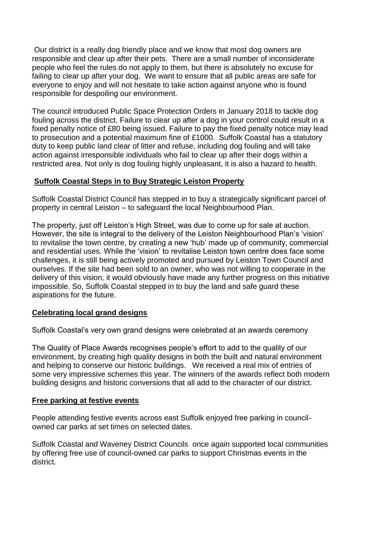Our district is a really dog friendly place and we know that most dog owners are responsible and clear up after their pets. There are a small number of inconsiderate people who feel the rules do not apply to them, but there is absolutely no excuse for failing to clear up after your dog. We want to ensure that all public areas are safe for everyone to enjoy and will not hesitate to take action against anyone who is found responsible for despoiling our environment.

The council introduced Public Space Protection Orders in January 2018 to tackle dog fouling across the district. Failure to clear up after a dog in your control could result in a fixed penalty notice of £80 being issued. Failure to pay the fixed penalty notice may lead to prosecution and a potential maximum fine of £1000. Suffolk Coastal has a statutory duty to keep public land clear of litter and refuse, including dog fouling and will take action against irresponsible individuals who fail to clear up after their dogs within a restricted area. Not only is dog fouling highly unpleasant, it is also a hazard to health.

## **Suffolk Coastal Steps in to Buy Strategic Leiston Property**

Suffolk Coastal District Council has stepped in to buy a strategically significant parcel of property in central Leiston – to safeguard the local Neighbourhood Plan.

The property, just off Leiston's High Street, was due to come up for sale at auction. However, the site is integral to the delivery of the Leiston Neighbourhood Plan's 'vision' to revitalise the town centre, by creating a new 'hub' made up of community, commercial and residential uses. While the 'vision' to revitalise Leiston town centre does face some challenges, it is still being actively promoted and pursued by Leiston Town Council and ourselves. If the site had been sold to an owner, who was not willing to cooperate in the delivery of this vision, it would obviously have made any further progress on this initiative impossible. So, Suffolk Coastal stepped in to buy the land and safe guard these aspirations for the future.

### **Celebrating local grand designs**

Suffolk Coastal's very own grand designs were celebrated at an awards ceremony

The Quality of Place Awards recognises people's effort to add to the quality of our environment, by creating high quality designs in both the built and natural environment and helping to conserve our historic buildings. We received a real mix of entries of some very impressive schemes this year. The winners of the awards reflect both modern building designs and historic conversions that all add to the character of our district.

### **Free parking at festive events**

People attending festive events across east Suffolk enjoyed free parking in councilowned car parks at set times on selected dates.

Suffolk Coastal and Waveney District Councils once again supported local communities by offering free use of council-owned car parks to support Christmas events in the district.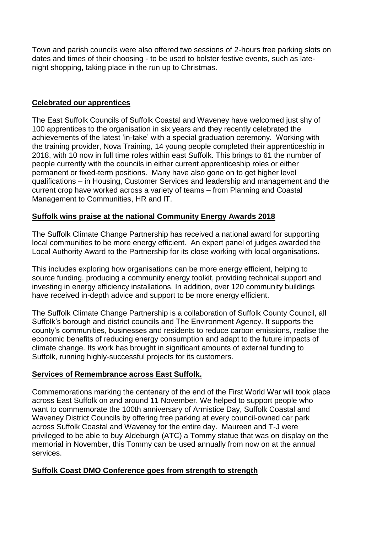Town and parish councils were also offered two sessions of 2-hours free parking slots on dates and times of their choosing - to be used to bolster festive events, such as latenight shopping, taking place in the run up to Christmas.

## **Celebrated our apprentices**

The East Suffolk Councils of Suffolk Coastal and Waveney have welcomed just shy of 100 apprentices to the organisation in six years and they recently celebrated the achievements of the latest 'in-take' with a special graduation ceremony. Working with the training provider, Nova Training, 14 young people completed their apprenticeship in 2018, with 10 now in full time roles within east Suffolk. This brings to 61 the number of people currently with the councils in either current apprenticeship roles or either permanent or fixed-term positions. Many have also gone on to get higher level qualifications – in Housing, Customer Services and leadership and management and the current crop have worked across a variety of teams – from Planning and Coastal Management to Communities, HR and IT.

## **Suffolk wins praise at the national Community Energy Awards 2018**

The Suffolk Climate Change Partnership has received a national award for supporting local communities to be more energy efficient. An expert panel of judges awarded the Local Authority Award to the Partnership for its close working with local organisations.

This includes exploring how organisations can be more energy efficient, helping to source funding, producing a community energy toolkit, providing technical support and investing in energy efficiency installations. In addition, over 120 community buildings have received in-depth advice and support to be more energy efficient.

The Suffolk Climate Change Partnership is a collaboration of Suffolk County Council, all Suffolk's borough and district councils and The Environment Agency. It supports the county's communities, businesses and residents to reduce carbon emissions, realise the economic benefits of reducing energy consumption and adapt to the future impacts of climate change. Its work has brought in significant amounts of external funding to Suffolk, running highly-successful projects for its customers.

### **Services of Remembrance across East Suffolk.**

Commemorations marking the centenary of the end of the First World War will took place across East Suffolk on and around 11 November. We helped to support people who want to commemorate the 100th anniversary of Armistice Day, Suffolk Coastal and Waveney District Councils by offering free parking [at every council-owned car park](https://www.eastsuffolk.gov.uk/news/free-parking-announced-to-support-good-causes/)  [across Suffolk Coastal and Waveney for the entire day.](https://www.eastsuffolk.gov.uk/news/free-parking-announced-to-support-good-causes/) Maureen and T-J were privileged to be able to buy Aldeburgh (ATC) a Tommy statue that was on display on the memorial in November, this Tommy can be used annually from now on at the annual services.

### **Suffolk Coast DMO Conference goes from strength to strength**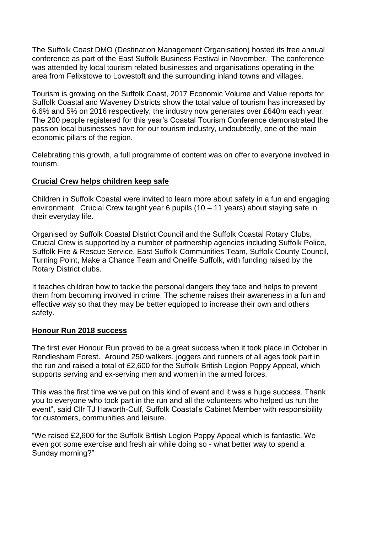The Suffolk Coast DMO (Destination Management Organisation) hosted its free annual conference as part of the East Suffolk Business Festival in November. The conference was attended by local tourism related businesses and organisations operating in the area from Felixstowe to Lowestoft and the surrounding inland towns and villages.

Tourism is growing on the Suffolk Coast, 2017 Economic Volume and Value reports for Suffolk Coastal and Waveney Districts show the total value of tourism has increased by 6.6% and 5% on 2016 respectively, the industry now generates over £640m each year. The 200 people registered for this year's Coastal Tourism Conference demonstrated the passion local businesses have for our tourism industry, undoubtedly, one of the main economic pillars of the region.

Celebrating this growth, a full programme of content was on offer to everyone involved in tourism.

### **Crucial Crew helps children keep safe**

Children in Suffolk Coastal were invited to learn more about safety in a fun and engaging environment. Crucial Crew taught year 6 pupils (10 – 11 years) about staying safe in their everyday life.

Organised by Suffolk Coastal District Council and the Suffolk Coastal Rotary Clubs, Crucial Crew is supported by a number of partnership agencies including Suffolk Police, Suffolk Fire & Rescue Service, East Suffolk Communities Team, Suffolk County Council, Turning Point, Make a Chance Team and Onelife Suffolk, with funding raised by the Rotary District clubs.

It teaches children how to tackle the personal dangers they face and helps to prevent them from becoming involved in crime. The scheme raises their awareness in a fun and effective way so that they may be better equipped to increase their own and others safety.

### **Honour Run 2018 success**

The first ever Honour Run proved to be a great success when it took place in October in Rendlesham Forest. Around 250 walkers, joggers and runners of all ages took part in the run and raised a total of £2,600 for the Suffolk British Legion Poppy Appeal, which supports serving and ex-serving men and women in the armed forces.

This was the first time we've put on this kind of event and it was a huge success. Thank you to everyone who took part in the run and all the volunteers who helped us run the event", said Cllr TJ Haworth-Culf, Suffolk Coastal's Cabinet Member with responsibility for customers, communities and leisure.

"We raised £2,600 for the Suffolk British Legion Poppy Appeal which is fantastic. We even got some exercise and fresh air while doing so - what better way to spend a Sunday morning?"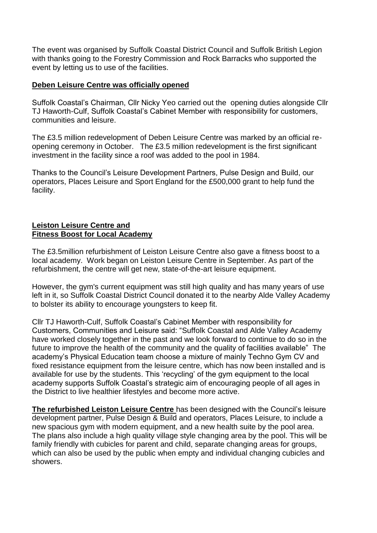The event was organised by Suffolk Coastal District Council and Suffolk British Legion with thanks going to the Forestry Commission and Rock Barracks who supported the event by letting us to use of the facilities.

### **Deben Leisure Centre was officially opened**

Suffolk Coastal's Chairman, Cllr Nicky Yeo carried out the opening duties alongside Cllr TJ Haworth-Culf, Suffolk Coastal's Cabinet Member with responsibility for customers, communities and leisure.

The £3.5 million redevelopment of Deben Leisure Centre was marked by an official reopening ceremony in October. The £3.5 million redevelopment is the first significant investment in the facility since a roof was added to the pool in 1984.

Thanks to the Council's Leisure Development Partners, Pulse Design and Build, our operators, Places Leisure and Sport England for the £500,000 grant to help fund the facility.

#### **Leiston Leisure Centre and Fitness Boost for Local Academy**

The £3.5million refurbishment of Leiston Leisure Centre also gave a fitness boost to a local academy. Work began on Leiston Leisure Centre in September. As part of the refurbishment, the centre will get new, state-of-the-art leisure equipment.

However, the gym's current equipment was still high quality and has many years of use left in it, so Suffolk Coastal District Council donated it to the nearby Alde Valley Academy to bolster its ability to encourage youngsters to keep fit.

Cllr TJ Haworth-Culf, Suffolk Coastal's Cabinet Member with responsibility for Customers, Communities and Leisure said: "Suffolk Coastal and Alde Valley Academy have worked closely together in the past and we look forward to continue to do so in the future to improve the health of the community and the quality of facilities available" The academy's Physical Education team choose a mixture of mainly Techno Gym CV and fixed resistance equipment from the leisure centre, which has now been installed and is available for use by the students. This 'recycling' of the gym equipment to the local academy supports Suffolk Coastal's strategic aim of encouraging people of all ages in the District to live healthier lifestyles and become more active.

**The refurbished Leiston Leisure Centre** has been designed with the Council's leisure development partner, Pulse Design & Build and operators, Places Leisure, to include a new spacious gym with modern equipment, and a new health suite by the pool area. The plans also include a high quality village style changing area by the pool. This will be family friendly with cubicles for parent and child, separate changing areas for groups, which can also be used by the public when empty and individual changing cubicles and showers.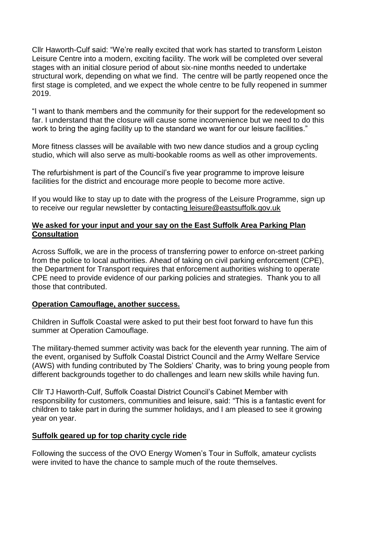Cllr Haworth-Culf said: "We're really excited that work has started to transform Leiston Leisure Centre into a modern, exciting facility. The work will be completed over several stages with an initial closure period of about six-nine months needed to undertake structural work, depending on what we find. The centre will be partly reopened once the first stage is completed, and we expect the whole centre to be fully reopened in summer 2019.

"I want to thank members and the community for their support for the redevelopment so far. I understand that the closure will cause some inconvenience but we need to do this work to bring the aging facility up to the standard we want for our leisure facilities."

More fitness classes will be available with two new dance studios and a group cycling studio, which will also serve as multi-bookable rooms as well as other improvements.

The refurbishment is part of the Council's five year programme to improve leisure facilities for the district and encourage more people to become more active.

If you would like to stay up to date with the progress of the Leisure Programme, sign up to receive our regular newsletter by contacting [leisure@eastsuffolk.gov.uk](mailto:leisure@eastsuffolk.gov.uk)

### **We asked for your input and your say on the East Suffolk Area Parking Plan Consultation**

Across Suffolk, we are in the process of transferring power to enforce on-street parking from the police to local authorities. Ahead of taking on civil parking enforcement (CPE), the Department for Transport requires that enforcement authorities wishing to operate CPE need to provide evidence of our parking policies and strategies. Thank you to all those that contributed.

### **Operation Camouflage, another success.**

Children in Suffolk Coastal were asked to put their best foot forward to have fun this summer at Operation Camouflage.

The military-themed summer activity was back for the eleventh year running. The aim of the event, organised by Suffolk Coastal District Council and the Army Welfare Service (AWS) with funding contributed by The Soldiers' Charity, was to bring young people from different backgrounds together to do challenges and learn new skills while having fun.

Cllr TJ Haworth-Culf, Suffolk Coastal District Council's Cabinet Member with responsibility for customers, communities and leisure, said: "This is a fantastic event for children to take part in during the summer holidays, and I am pleased to see it growing year on year.

### **Suffolk geared up for top charity cycle ride**

Following the success of the OVO Energy Women's Tour in Suffolk, amateur cyclists were invited to have the chance to sample much of the route themselves.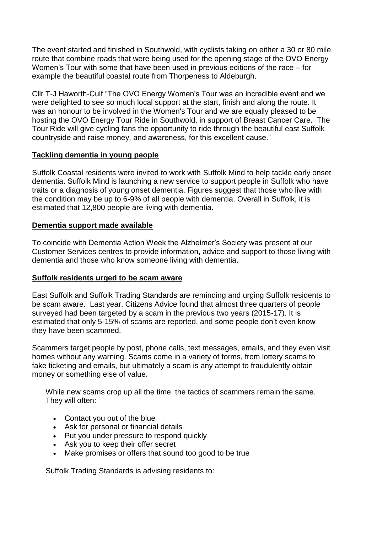The event started and finished in Southwold, with cyclists taking on either a 30 or 80 mile route that combine roads that were being used for the opening stage of the OVO Energy Women's Tour with some that have been used in previous editions of the race – for example the beautiful coastal route from Thorpeness to Aldeburgh.

Cllr T-J Haworth-Culf "The OVO Energy Women's Tour was an incredible event and we were delighted to see so much local support at the start, finish and along the route. It was an honour to be involved in the Women's Tour and we are equally pleased to be hosting the OVO Energy Tour Ride in Southwold, in support of Breast Cancer Care. The Tour Ride will give cycling fans the opportunity to ride through the beautiful east Suffolk countryside and raise money, and awareness, for this excellent cause."

## **Tackling dementia in young people**

Suffolk Coastal residents were invited to work with Suffolk Mind to help tackle early onset dementia. Suffolk Mind is launching a new service to support people in Suffolk who have traits or a diagnosis of young onset dementia. Figures suggest that those who live with the condition may be up to 6-9% of all people with dementia. Overall in Suffolk, it is estimated that 12,800 people are living with dementia.

## **Dementia support made available**

To coincide with Dementia Action Week the Alzheimer's Society was present at our Customer Services centres to provide information, advice and support to those living with dementia and those who know someone living with dementia.

### **Suffolk residents urged to be scam aware**

East Suffolk and Suffolk Trading Standards are reminding and urging Suffolk residents to be scam aware. Last year, Citizens Advice found that almost three quarters of people surveyed had been targeted by a scam in the previous two years (2015-17). It is estimated that only 5-15% of scams are reported, and some people don't even know they have been scammed.

Scammers target people by post, phone calls, text messages, emails, and they even visit homes without any warning. Scams come in a variety of forms, from lottery scams to fake ticketing and emails, but ultimately a scam is any attempt to fraudulently obtain money or something else of value.

While new scams crop up all the time, the tactics of scammers remain the same. They will often:

- Contact you out of the blue
- Ask for personal or financial details
- Put you under pressure to respond quickly
- Ask you to keep their offer secret
- Make promises or offers that sound too good to be true

Suffolk Trading Standards is advising residents to: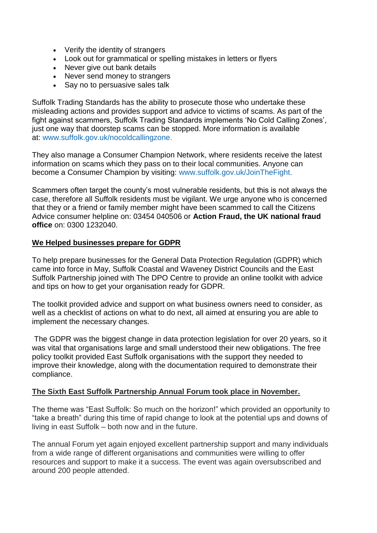- Verify the identity of strangers
- Look out for grammatical or spelling mistakes in letters or flyers
- Never give out bank details
- Never send money to strangers
- Say no to persuasive sales talk

Suffolk Trading Standards has the ability to prosecute those who undertake these misleading actions and provides support and advice to victims of scams. As part of the fight against scammers, Suffolk Trading Standards implements 'No Cold Calling Zones', just one way that doorstep scams can be stopped. More information is available at: [www.suffolk.gov.uk/nocoldcallingzone.](http://www.suffolk.gov.uk/nocoldcallingzone)

They also manage a Consumer Champion Network, where residents receive the latest information on scams which they pass on to their local communities. Anyone can become a Consumer Champion by visiting: [www.suffolk.gov.uk/JoinTheFight.](http://www.suffolk.gov.uk/JoinTheFight)

Scammers often target the county's most vulnerable residents, but this is not always the case, therefore all Suffolk residents must be vigilant. We urge anyone who is concerned that they or a friend or family member might have been scammed to call the Citizens Advice consumer helpline on: 03454 040506 or **Action Fraud, the UK national fraud office** on: 0300 1232040.

#### **We Helped businesses prepare for GDPR**

To help prepare businesses for the General Data Protection Regulation (GDPR) which came into force in May, Suffolk Coastal and Waveney District Councils and the East Suffolk Partnership joined with The DPO Centre to provide an online toolkit with advice and tips on how to get your organisation ready for GDPR.

The toolkit provided advice and support on what business owners need to consider, as well as a checklist of actions on what to do next, all aimed at ensuring you are able to implement the necessary changes.

The GDPR was the biggest change in data protection legislation for over 20 years, so it was vital that organisations large and small understood their new obligations. The free policy toolkit provided East Suffolk organisations with the support they needed to improve their knowledge, along with the documentation required to demonstrate their compliance.

#### **The Sixth East Suffolk Partnership Annual Forum took place in November.**

The theme was "East Suffolk: So much on the horizon!" which provided an opportunity to "take a breath" during this time of rapid change to look at the potential ups and downs of living in east Suffolk – both now and in the future.

The annual Forum yet again enjoyed excellent partnership support and many individuals from a wide range of different organisations and communities were willing to offer resources and support to make it a success. The event was again oversubscribed and around 200 people attended.